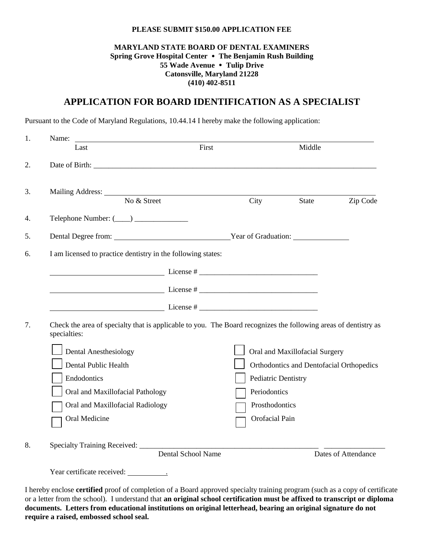#### **PLEASE SUBMIT \$150.00 APPLICATION FEE**

### **MARYLAND STATE BOARD OF DENTAL EXAMINERS Spring Grove Hospital Center The Benjamin Rush Building 55 Wade Avenue Tulip Drive Catonsville, Maryland 21228 (410) 402-8511**

# **APPLICATION FOR BOARD IDENTIFICATION AS A SPECIALIST**

Pursuant to the Code of Maryland Regulations, 10.44.14 I hereby make the following application:

| 1. | Name:<br>Last                                                                                                                   | First                     |                                | Middle |                                          |  |
|----|---------------------------------------------------------------------------------------------------------------------------------|---------------------------|--------------------------------|--------|------------------------------------------|--|
|    |                                                                                                                                 |                           |                                |        |                                          |  |
|    | No & Street                                                                                                                     |                           | City                           | State  | Zip Code                                 |  |
|    |                                                                                                                                 |                           |                                |        |                                          |  |
|    | Dental Degree from: <u>Vear of Graduation:</u>                                                                                  |                           |                                |        |                                          |  |
| 6. | I am licensed to practice dentistry in the following states:                                                                    |                           |                                |        |                                          |  |
|    |                                                                                                                                 |                           |                                |        |                                          |  |
|    |                                                                                                                                 |                           |                                |        |                                          |  |
|    |                                                                                                                                 |                           |                                |        |                                          |  |
|    | Check the area of specialty that is applicable to you. The Board recognizes the following areas of dentistry as<br>specialties: |                           |                                |        |                                          |  |
|    | <b>Dental Anesthesiology</b>                                                                                                    |                           | Oral and Maxillofacial Surgery |        |                                          |  |
|    | Dental Public Health                                                                                                            |                           |                                |        | Orthodontics and Dentofacial Orthopedics |  |
|    | Endodontics                                                                                                                     |                           | Pediatric Dentistry            |        |                                          |  |
|    | Oral and Maxillofacial Pathology                                                                                                |                           | Periodontics                   |        |                                          |  |
|    | Oral and Maxillofacial Radiology                                                                                                |                           | Prosthodontics                 |        |                                          |  |
|    | Oral Medicine                                                                                                                   |                           | Orofacial Pain                 |        |                                          |  |
|    |                                                                                                                                 | <b>Dental School Name</b> |                                |        | Dates of Attendance                      |  |
|    | Year certificate received:                                                                                                      |                           |                                |        |                                          |  |
|    |                                                                                                                                 |                           |                                |        |                                          |  |
|    | I hereby enclose certified proof of completion of a Board approved specialty training program (such as a copy of certificate    |                           |                                |        |                                          |  |

or a letter from the school). I understand that **an original school certification must be affixed to transcript or diploma documents. Letters from educational institutions on original letterhead, bearing an original signature do not require a raised, embossed school seal.**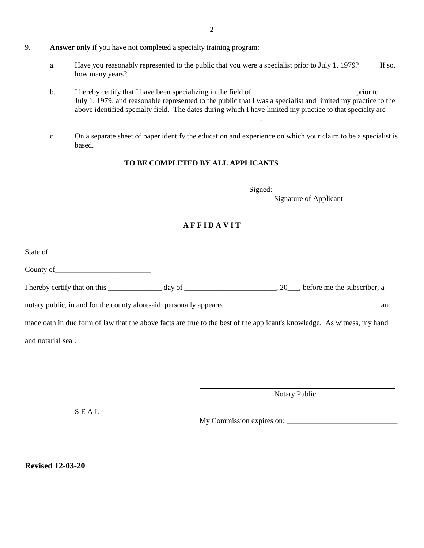- 9. **Answer only** if you have not completed a specialty training program:
	- a. Have you reasonably represented to the public that you were a specialist prior to July 1, 1979? If so, how many years?
	- b. I hereby certify that I have been specializing in the field of <u>prior prior</u> prior to July 1, 1979, and reasonable represented to the public that I was a specialist and limited my practice to the above identified specialty field. The dates during which I have limited my practice to that specialty are

**.** The contract of the contract of the contract of the contract of the contract of the contract of the contract of

c. On a separate sheet of paper identify the education and experience on which your claim to be a specialist is based.

#### **TO BE COMPLETED BY ALL APPLICANTS**

Signed:

Signature of Applicant

## **A F F I D A V I T**

State of County of I hereby certify that on this \_\_\_\_\_\_\_\_\_\_\_\_\_\_\_ day of \_\_\_\_\_\_\_\_\_\_\_\_\_\_\_\_\_\_\_\_\_, 20\_\_, before me the subscriber, a notary public, in and for the county aforesaid, personally appeared \_\_\_\_\_\_\_\_\_\_\_\_\_\_\_\_\_\_\_\_\_\_\_\_\_\_\_\_\_\_\_\_\_\_\_\_\_\_\_\_ and made oath in due form of law that the above facts are true to the best of the applicant's knowledge. As witness, my hand and notarial seal.

Notary Public

S E A L

My Commission expires on: \_\_\_\_\_\_\_\_\_\_\_\_\_\_\_\_\_\_\_\_\_\_\_\_\_\_\_\_\_

**Revised 12-03-20**